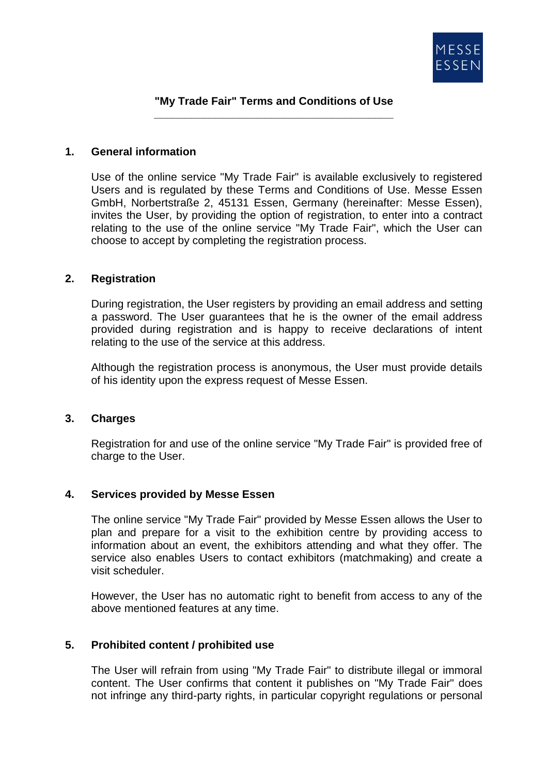

### **"My Trade Fair" Terms and Conditions of Use \_\_\_\_\_\_\_\_\_\_\_\_\_\_\_\_\_\_\_\_\_\_\_\_\_\_\_\_\_\_\_\_\_\_\_\_\_\_\_**

#### **1. General information**

Use of the online service "My Trade Fair" is available exclusively to registered Users and is regulated by these Terms and Conditions of Use. Messe Essen GmbH, Norbertstraße 2, 45131 Essen, Germany (hereinafter: Messe Essen), invites the User, by providing the option of registration, to enter into a contract relating to the use of the online service "My Trade Fair", which the User can choose to accept by completing the registration process.

#### **2. Registration**

During registration, the User registers by providing an email address and setting a password. The User guarantees that he is the owner of the email address provided during registration and is happy to receive declarations of intent relating to the use of the service at this address.

Although the registration process is anonymous, the User must provide details of his identity upon the express request of Messe Essen.

## **3. Charges**

Registration for and use of the online service "My Trade Fair" is provided free of charge to the User.

## **4. Services provided by Messe Essen**

The online service "My Trade Fair" provided by Messe Essen allows the User to plan and prepare for a visit to the exhibition centre by providing access to information about an event, the exhibitors attending and what they offer. The service also enables Users to contact exhibitors (matchmaking) and create a visit scheduler.

However, the User has no automatic right to benefit from access to any of the above mentioned features at any time.

## **5. Prohibited content / prohibited use**

The User will refrain from using "My Trade Fair" to distribute illegal or immoral content. The User confirms that content it publishes on "My Trade Fair" does not infringe any third-party rights, in particular copyright regulations or personal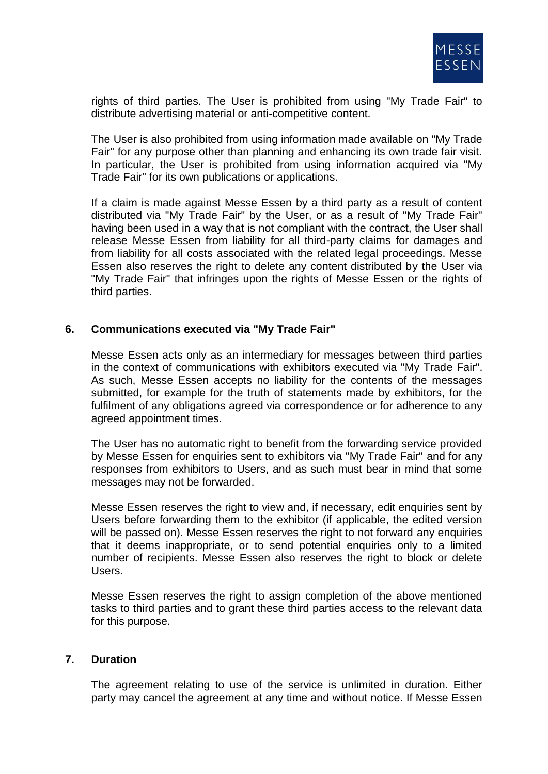

rights of third parties. The User is prohibited from using "My Trade Fair" to distribute advertising material or anti-competitive content.

The User is also prohibited from using information made available on "My Trade Fair" for any purpose other than planning and enhancing its own trade fair visit. In particular, the User is prohibited from using information acquired via "My Trade Fair" for its own publications or applications.

If a claim is made against Messe Essen by a third party as a result of content distributed via "My Trade Fair" by the User, or as a result of "My Trade Fair" having been used in a way that is not compliant with the contract, the User shall release Messe Essen from liability for all third-party claims for damages and from liability for all costs associated with the related legal proceedings. Messe Essen also reserves the right to delete any content distributed by the User via "My Trade Fair" that infringes upon the rights of Messe Essen or the rights of third parties.

## **6. Communications executed via "My Trade Fair"**

Messe Essen acts only as an intermediary for messages between third parties in the context of communications with exhibitors executed via "My Trade Fair". As such, Messe Essen accepts no liability for the contents of the messages submitted, for example for the truth of statements made by exhibitors, for the fulfilment of any obligations agreed via correspondence or for adherence to any agreed appointment times.

The User has no automatic right to benefit from the forwarding service provided by Messe Essen for enquiries sent to exhibitors via "My Trade Fair" and for any responses from exhibitors to Users, and as such must bear in mind that some messages may not be forwarded.

Messe Essen reserves the right to view and, if necessary, edit enquiries sent by Users before forwarding them to the exhibitor (if applicable, the edited version will be passed on). Messe Essen reserves the right to not forward any enquiries that it deems inappropriate, or to send potential enquiries only to a limited number of recipients. Messe Essen also reserves the right to block or delete Users.

Messe Essen reserves the right to assign completion of the above mentioned tasks to third parties and to grant these third parties access to the relevant data for this purpose.

## **7. Duration**

The agreement relating to use of the service is unlimited in duration. Either party may cancel the agreement at any time and without notice. If Messe Essen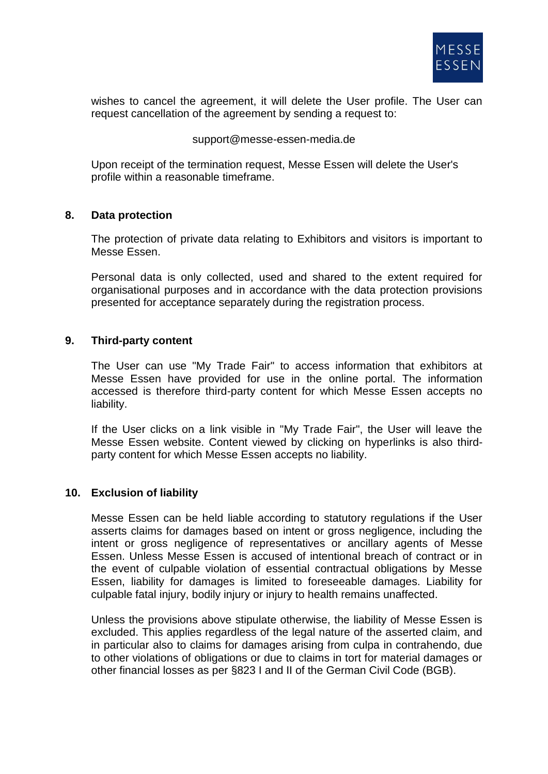

wishes to cancel the agreement, it will delete the User profile. The User can request cancellation of the agreement by sending a request to:

#### support@messe-essen-media.de

Upon receipt of the termination request, Messe Essen will delete the User's profile within a reasonable timeframe.

## **8. Data protection**

The protection of private data relating to Exhibitors and visitors is important to Messe Essen.

Personal data is only collected, used and shared to the extent required for organisational purposes and in accordance with the data protection provisions presented for acceptance separately during the registration process.

#### **9. Third-party content**

The User can use "My Trade Fair" to access information that exhibitors at Messe Essen have provided for use in the online portal. The information accessed is therefore third-party content for which Messe Essen accepts no liability.

If the User clicks on a link visible in "My Trade Fair", the User will leave the Messe Essen website. Content viewed by clicking on hyperlinks is also thirdparty content for which Messe Essen accepts no liability.

## **10. Exclusion of liability**

Messe Essen can be held liable according to statutory regulations if the User asserts claims for damages based on intent or gross negligence, including the intent or gross negligence of representatives or ancillary agents of Messe Essen. Unless Messe Essen is accused of intentional breach of contract or in the event of culpable violation of essential contractual obligations by Messe Essen, liability for damages is limited to foreseeable damages. Liability for culpable fatal injury, bodily injury or injury to health remains unaffected.

Unless the provisions above stipulate otherwise, the liability of Messe Essen is excluded. This applies regardless of the legal nature of the asserted claim, and in particular also to claims for damages arising from culpa in contrahendo, due to other violations of obligations or due to claims in tort for material damages or other financial losses as per §823 I and II of the German Civil Code (BGB).